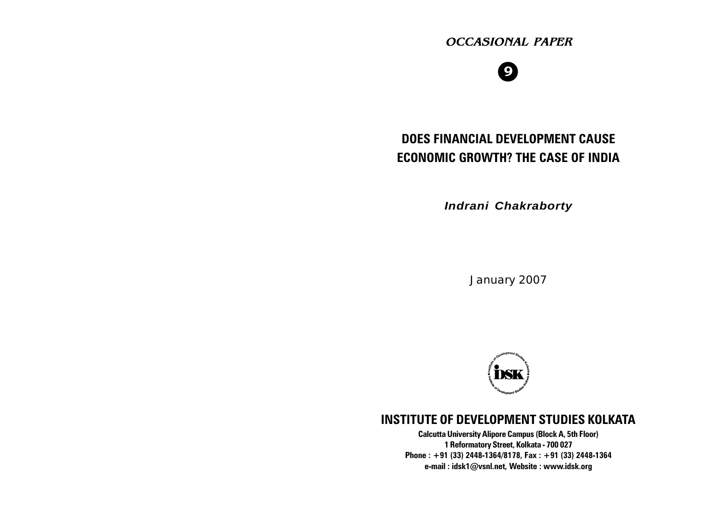# OCCASIONAL PAPER

# 9

# DOES FINANCIAL DEVELOPMENT C ECONOMIC GROWTH? THE CASE OF

Indrani Chakraborty

January 2007



# INSTITUTE OF DEVELOPME[NT STU](mailto:idsk1@vsnl.net)DI

Calcutta University Alipore Campus (Block A, 5th F 1 Reformatory Street, Kolkata - 700 027 Phone : +91 (33) 2448-1364/8178, Fax : +91 (33) 24 e-mail : idsk1@vsnl.net, Website : www.idsk.org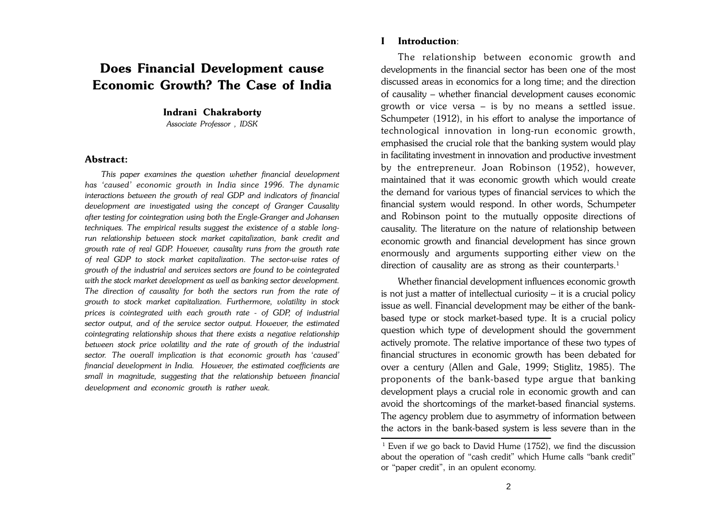# **Does Financial Development cause Economic Growth? The Case of India**

#### **Indrani Chakraborty**

*Associate Professor , IDSK*

#### **Abstract:**

 *This paper examines the question whether financial development has 'caused' economic growth in India since 1996. The dynamic interactions between the growth of real GDP and indicators of financial development are investigated using the concept of Granger Causality after testing for cointegration using both the Engle-Granger and Johansen techniques. The empirical results suggest the existence of a stable longrun relationship between stock market capitalization, bank credit and growth rate of real GDP. However, causality runs from the growth rate of real GDP to stock market capitalization. The sector-wise rates of growth of the industrial and services sectors are found to be cointegrated with the stock market development as well as banking sector development. The direction of causality for both the sectors run from the rate of growth to stock market capitalization. Furthermore, volatility in stock prices is cointegrated with each growth rate - of GDP, of industrial sector output, and of the service sector output. However, the estimated cointegrating relationship shows that there exists a negative relationship between stock price volatility and the rate of growth of the industrial sector. The overall implication is that economic growth has 'caused' financial development in India. However, the estimated coefficients are small in magnitude, suggesting that the relationship between financial development and economic growth is rather weak.*

#### **I Introduction**:

The relationship between economic growth and developments in the financial sector has been one of the most discussed areas in economics for a long time; and the direction of causality – whether financial development causes economic growth or vice versa – is by no means a settled issue. Schumpeter (1912), in his effort to analyse the importance of technological innovation in long-run economic growth, emphasised the crucial role that the banking system would play in facilitating investment in innovation and productive investment by the entrepreneur. Joan Robinson (1952), however, maintained that it was economic growth which would create the demand for various types of financial services to which the financial system would respond. In other words, Schumpeter and Robinson point to the mutually opposite directions of causality. The literature on the nature of relationship between economic growth and financial development has since grown enormously and arguments supporting either view on the direction of causality are as strong as their counterparts.<sup>1</sup>

Whether financial development influences economic growth is not just a matter of intellectual curiosity – it is a crucial policy issue as well. Financial development may be either of the bankbased type or stock market-based type. It is a crucial policy question which type of development should the government actively promote. The relative importance of these two types of financial structures in economic growth has been debated for over a century (Allen and Gale, 1999; Stiglitz, 1985). The proponents of the bank-based type argue that banking development plays a crucial role in economic growth and can avoid the shortcomings of the market-based financial systems. The agency problem due to asymmetry of information between the actors in the bank-based system is less severe than in the

<sup>&</sup>lt;sup>1</sup> Even if we go back to David Hume (1752), we find the discussion about the operation of "cash credit" which Hume calls "bank credit" or "paper credit", in an opulent economy.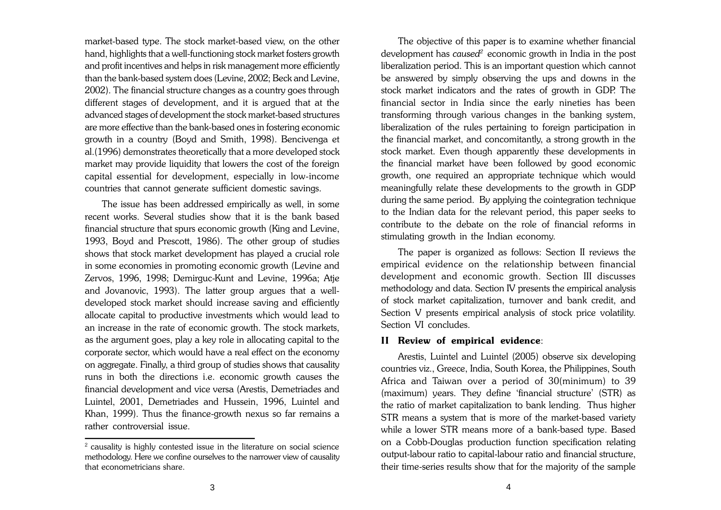market-based type. The stock market-based view, on the other hand, highlights that a well-functioning stock market fosters growth and profit incentives and helps in risk management more efficiently than the bank-based system does (Levine, 2002; Beck and Levine, 2002). The financial structure changes as a country goes through different stages of development, and it is argued that at the advanced stages of development the stock market-based structures are more effective than the bank-based ones in fostering economic growth in a country (Boyd and Smith, 1998). Bencivenga et al.(1996) demonstrates theoretically that a more developed stock market may provide liquidity that lowers the cost of the foreign capital essential for development, especially in low-income countries that cannot generate sufficient domestic savings.

The issue has been addressed empirically as well, in some recent works. Several studies show that it is the bank based financial structure that spurs economic growth (King and Levine, 1993, Boyd and Prescott, 1986). The other group of studies shows that stock market development has played a crucial role in some economies in promoting economic growth (Levine and Zervos, 1996, 1998; Demirguc-Kunt and Levine, 1996a; Atje and Jovanovic, 1993). The latter group argues that a welldeveloped stock market should increase saving and efficiently allocate capital to productive investments which would lead to an increase in the rate of economic growth. The stock markets, as the argument goes, play a key role in allocating capital to the corporate sector, which would have a real effect on the economy on aggregate. Finally, a third group of studies shows that causality runs in both the directions i.e. economic growth causes the financial development and vice versa (Arestis, Demetriades and Luintel, 2001, Demetriades and Hussein, 1996, Luintel and Khan, 1999). Thus the finance-growth nexus so far remains a rather controversial issue.

The objective of this paper is to examine whether financial development has *caused<sup>2</sup>* economic growth in India in the post liberalization period. This is an important question which cannot be answered by simply observing the ups and downs in the stock market indicators and the rates of growth in GDP. The financial sector in India since the early nineties has been transforming through various changes in the banking system, liberalization of the rules pertaining to foreign participation in the financial market, and concomitantly, a strong growth in the stock market. Even though apparently these developments in the financial market have been followed by good economic growth, one required an appropriate technique which would meaningfully relate these developments to the growth in GDP during the same period. By applying the cointegration technique to the Indian data for the relevant period, this paper seeks to contribute to the debate on the role of financial reforms in stimulating growth in the Indian economy.

The paper is organized as follows: Section II reviews the empirical evidence on the relationship between financial development and economic growth. Section III discusses methodology and data. Section IV presents the empirical analysis of stock market capitalization, turnover and bank credit, and Section V presents empirical analysis of stock price volatility. Section VI concludes.

#### **II Review of empirical evidence**:

Arestis, Luintel and Luintel (2005) observe six developing countries viz., Greece, India, South Korea, the Philippines, South Africa and Taiwan over a period of 30(minimum) to 39 (maximum) years. They define 'financial structure' (STR) as the ratio of market capitalization to bank lending. Thus higher STR means a system that is more of the market-based variety while a lower STR means more of a bank-based type. Based on a Cobb-Douglas production function specification relating output-labour ratio to capital-labour ratio and financial structure, their time-series results show that for the majority of the sample

<sup>&</sup>lt;sup>2</sup> causality is highly contested issue in the literature on social science methodology. Here we confine ourselves to the narrower view of causality that econometricians share.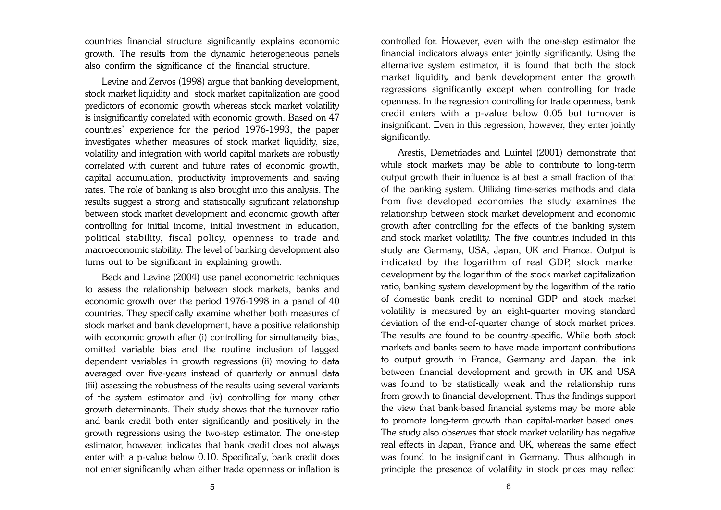countries financial structure significantly explains economic growth. The results from the dynamic heterogeneous panels also confirm the significance of the financial structure.

Levine and Zervos (1998) argue that banking development, stock market liquidity and stock market capitalization are good predictors of economic growth whereas stock market volatility is insignificantly correlated with economic growth. Based on 47 countries' experience for the period 1976-1993, the paper investigates whether measures of stock market liquidity, size, volatility and integration with world capital markets are robustly correlated with current and future rates of economic growth, capital accumulation, productivity improvements and saving rates. The role of banking is also brought into this analysis. The results suggest a strong and statistically significant relationship between stock market development and economic growth after controlling for initial income, initial investment in education, political stability, fiscal policy, openness to trade and macroeconomic stability. The level of banking development also turns out to be significant in explaining growth.

Beck and Levine (2004) use panel econometric techniques to assess the relationship between stock markets, banks and economic growth over the period 1976-1998 in a panel of 40 countries. They specifically examine whether both measures of stock market and bank development, have a positive relationship with economic growth after (i) controlling for simultaneity bias, omitted variable bias and the routine inclusion of lagged dependent variables in growth regressions (ii) moving to data averaged over five-years instead of quarterly or annual data (iii) assessing the robustness of the results using several variants of the system estimator and (iv) controlling for many other growth determinants. Their study shows that the turnover ratio and bank credit both enter significantly and positively in the growth regressions using the two-step estimator. The one-step estimator, however, indicates that bank credit does not always enter with a p-value below 0.10. Specifically, bank credit does not enter significantly when either trade openness or inflation is controlled for. However, even with the one-step estimator the financial indicators always enter jointly significantly. Using the alternative system estimator, it is found that both the stock market liquidity and bank development enter the growth regressions significantly except when controlling for trade openness. In the regression controlling for trade openness, bank credit enters with a p-value below 0.05 but turnover is insignificant. Even in this regression, however, they enter jointly significantly.

Arestis, Demetriades and Luintel (2001) demonstrate that while stock markets may be able to contribute to long-term output growth their influence is at best a small fraction of that of the banking system. Utilizing time-series methods and data from five developed economies the study examines the relationship between stock market development and economic growth after controlling for the effects of the banking system and stock market volatility. The five countries included in this study are Germany, USA, Japan, UK and France. Output is indicated by the logarithm of real GDP, stock market development by the logarithm of the stock market capitalization ratio, banking system development by the logarithm of the ratio of domestic bank credit to nominal GDP and stock market volatility is measured by an eight-quarter moving standard deviation of the end-of-quarter change of stock market prices. The results are found to be country-specific. While both stock markets and banks seem to have made important contributions to output growth in France, Germany and Japan, the link between financial development and growth in UK and USA was found to be statistically weak and the relationship runs from growth to financial development. Thus the findings support the view that bank-based financial systems may be more able to promote long-term growth than capital-market based ones. The study also observes that stock market volatility has negative real effects in Japan, France and UK, whereas the same effect was found to be insignificant in Germany. Thus although in principle the presence of volatility in stock prices may reflect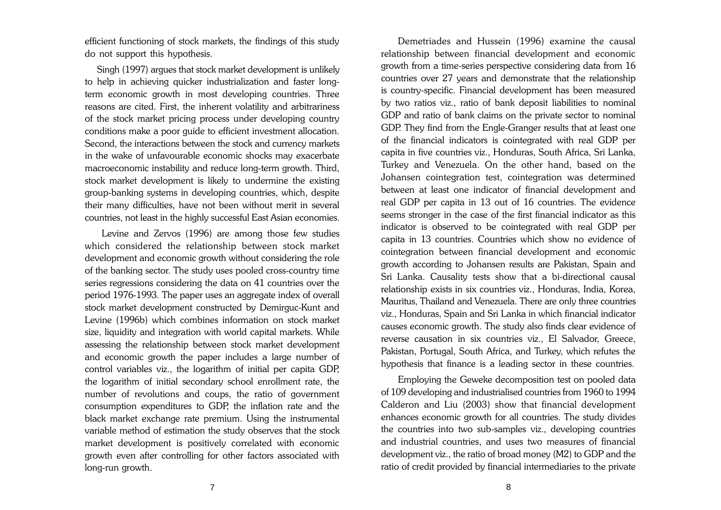efficient functioning of stock markets, the findings of this study do not support this hypothesis.

Singh (1997) argues that stock market development is unlikely to help in achieving quicker industrialization and faster longterm economic growth in most developing countries. Three reasons are cited. First, the inherent volatility and arbitrariness of the stock market pricing process under developing country conditions make a poor guide to efficient investment allocation. Second, the interactions between the stock and currency markets in the wake of unfavourable economic shocks may exacerbate macroeconomic instability and reduce long-term growth. Third, stock market development is likely to undermine the existing group-banking systems in developing countries, which, despite their many difficulties, have not been without merit in several countries, not least in the highly successful East Asian economies.

Levine and Zervos (1996) are among those few studies which considered the relationship between stock market development and economic growth without considering the role of the banking sector. The study uses pooled cross-country time series regressions considering the data on 41 countries over the period 1976-1993. The paper uses an aggregate index of overall stock market development constructed by Demirguc-Kunt and Levine (1996b) which combines information on stock market size, liquidity and integration with world capital markets. While assessing the relationship between stock market development and economic growth the paper includes a large number of control variables viz., the logarithm of initial per capita GDP, the logarithm of initial secondary school enrollment rate, the number of revolutions and coups, the ratio of government consumption expenditures to GDP, the inflation rate and the black market exchange rate premium. Using the instrumental variable method of estimation the study observes that the stock market development is positively correlated with economic growth even after controlling for other factors associated with long-run growth.

Demetriades and Hussein (1996) examine the causal relationship between financial development and economic growth from a time-series perspective considering data from 16 countries over 27 years and demonstrate that the relationship is country-specific. Financial development has been measured by two ratios viz., ratio of bank deposit liabilities to nominal GDP and ratio of bank claims on the private sector to nominal GDP. They find from the Engle-Granger results that at least one of the financial indicators is cointegrated with real GDP per capita in five countries viz., Honduras, South Africa, Sri Lanka, Turkey and Venezuela. On the other hand, based on the Johansen cointegration test, cointegration was determined between at least one indicator of financial development and real GDP per capita in 13 out of 16 countries. The evidence seems stronger in the case of the first financial indicator as this indicator is observed to be cointegrated with real GDP per capita in 13 countries. Countries which show no evidence of cointegration between financial development and economic growth according to Johansen results are Pakistan, Spain and Sri Lanka. Causality tests show that a bi-directional causal relationship exists in six countries viz., Honduras, India, Korea, Mauritus, Thailand and Venezuela. There are only three countries viz., Honduras, Spain and Sri Lanka in which financial indicator causes economic growth. The study also finds clear evidence of reverse causation in six countries viz., El Salvador, Greece, Pakistan, Portugal, South Africa, and Turkey, which refutes the hypothesis that finance is a leading sector in these countries.

Employing the Geweke decomposition test on pooled data of 109 developing and industrialised countries from 1960 to 1994 Calderon and Liu (2003) show that financial development enhances economic growth for all countries. The study divides the countries into two sub-samples viz., developing countries and industrial countries, and uses two measures of financial development viz., the ratio of broad money (M2) to GDP and the ratio of credit provided by financial intermediaries to the private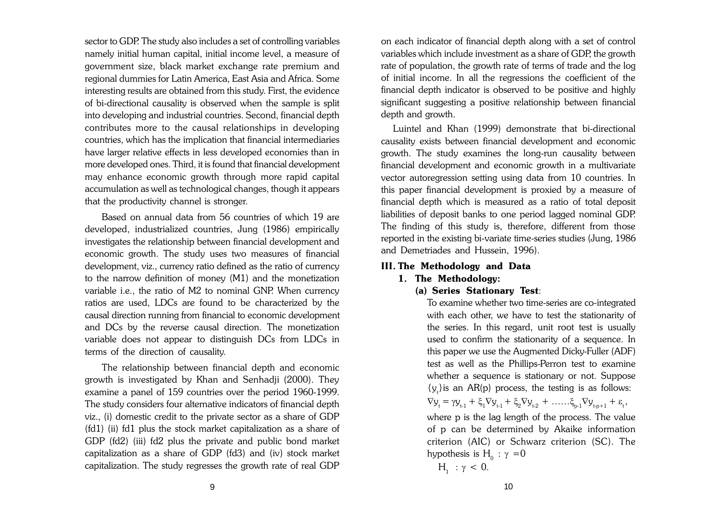sector to GDP. The study also includes a set of controlling variables namely initial human capital, initial income level, a measure of government size, black market exchange rate premium and regional dummies for Latin America, East Asia and Africa. Some interesting results are obtained from this study. First, the evidence of bi-directional causality is observed when the sample is split into developing and industrial countries. Second, financial depth contributes more to the causal relationships in developing countries, which has the implication that financial intermediaries have larger relative effects in less developed economies than in more developed ones. Third, it is found that financial development may enhance economic growth through more rapid capital accumulation as well as technological changes, though it appears that the productivity channel is stronger.

Based on annual data from 56 countries of which 19 are developed, industrialized countries, Jung (1986) empirically investigates the relationship between financial development and economic growth. The study uses two measures of financial development, viz., currency ratio defined as the ratio of currency to the narrow definition of money (M1) and the monetization variable i.e., the ratio of M2 to nominal GNP. When currency ratios are used, LDCs are found to be characterized by the causal direction running from financial to economic development and DCs by the reverse causal direction. The monetization variable does not appear to distinguish DCs from LDCs in terms of the direction of causality.

The relationship between financial depth and economic growth is investigated by Khan and Senhadji (2000). They examine a panel of 159 countries over the period 1960-1999. The study considers four alternative indicators of financial depth viz., (i) domestic credit to the private sector as a share of GDP (fd1) (ii) fd1 plus the stock market capitalization as a share of GDP (fd2) (iii) fd2 plus the private and public bond market capitalization as a share of GDP (fd3) and (iv) stock market capitalization. The study regresses the growth rate of real GDP

on each indicator of financial depth along with a set of control variables which include investment as a share of GDP, the growth rate of population, the growth rate of terms of trade and the log of initial income. In all the regressions the coefficient of the financial depth indicator is observed to be positive and highly significant suggesting a positive relationship between financial depth and growth.

Luintel and Khan (1999) demonstrate that bi-directional causality exists between financial development and economic growth. The study examines the long-run causality between financial development and economic growth in a multivariate vector autoregression setting using data from 10 countries. In this paper financial development is proxied by a measure of financial depth which is measured as a ratio of total deposit liabilities of deposit banks to one period lagged nominal GDP. The finding of this study is, therefore, different from those reported in the existing bi-variate time-series studies (Jung, 1986 and Demetriades and Hussein, 1996).

#### **III. The Methodology and Data**

#### **1. The Methodology:**

#### **(a) Series Stationary Test**:

To examine whether two time-series are co-integrated with each other, we have to test the stationarity of the series. In this regard, unit root test is usually used to confirm the stationarity of a sequence. In this paper we use the Augmented Dicky-Fuller (ADF) test as well as the Phillips-Perron test to examine whether a sequence is stationary or not. Suppose  ${y_t}$ is an AR(p) process, the testing is as follows:  $\nabla y_{t} = \gamma y_{t-1} + \xi_{1} \nabla y_{t-1} + \xi_{2} \nabla y_{t-2} + \ldots \xi_{p-1} \nabla y_{t-p+1} + \varepsilon_{t},$ where p is the lag length of the process. The value of p can be determined by Akaike information criterion (AIC) or Schwarz criterion (SC). The hypothesis is  $H_0$ :  $\gamma = 0$  $H_1$  :  $\gamma$  < 0.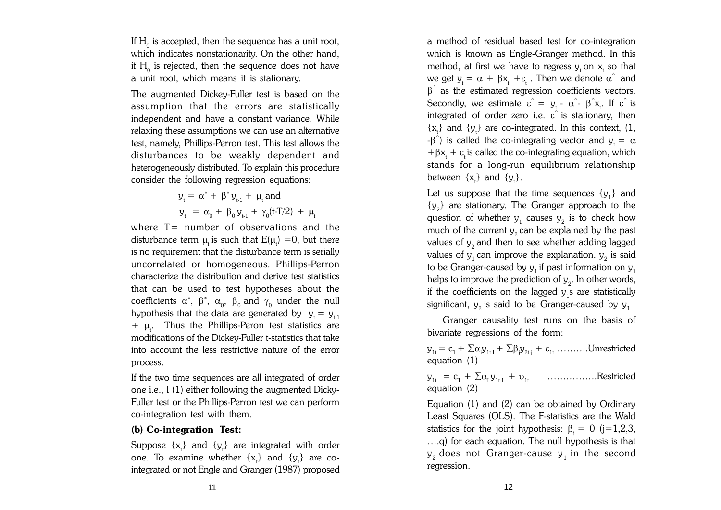If  $\rm H_{0}$  is accepted, then the sequence has a unit root, which indicates nonstationarity. On the other hand, if  ${\rm H}_{_{\rm 0}}$  is rejected, then the sequence does not have a unit root, which means it is stationary.

The augmented Dickey-Fuller test is based on the assumption that the errors are statistically independent and have a constant variance. While relaxing these assumptions we can use an alternative test, namely, Phillips-Perron test. This test allows the disturbances to be weakly dependent and heterogeneously distributed. To explain this procedure consider the following regression equations:

 $y_{t} = \alpha^{*} + \beta^{*} y_{t-1} + \mu_{t}$  and  $y_t = \alpha_0 + \beta_0 y_{t-1} + \gamma_0 (t-T/2) + \mu_t$ 

where T= number of observations and the disturbance term  $\mu_{\text{t}}$  is such that  $\text{E}(\mu_{\text{t}})=0$ , but there is no requirement that the disturbance term is serially uncorrelated or homogeneous. Phillips-Perron characterize the distribution and derive test statistics that can be used to test hypotheses about the coefficients  $\alpha^*,$   $\beta^*,$   $\alpha_{0},$   $\beta_{0}$  and  $\gamma_{0}$  under the null hypothesis that the data are generated by  $y_t = y_{t-1}$  $+$   $\mu$ . Thus the Phillips-Peron test statistics are modifications of the Dickey-Fuller t-statistics that take into account the less restrictive nature of the error process.

If the two time sequences are all integrated of order one i.e., I (1) either following the augmented Dicky-Fuller test or the Phillips-Perron test we can perform co-integration test with them.

## **(b) Co-integration Test:**

Suppose  $\{x_t\}$  and  $\{y_t\}$  are integrated with order one. To examine whether  $\{x_{t}\}\$  and  $\{y_{t}\}\$  are cointegrated or not Engle and Granger (1987) proposed a method of residual based test for co-integration which is known as Engle-Granger method. In this method, at first we have to regress  $y_t$  on  $x_t$  so that we get  $y_t = \alpha + \beta x_t + \varepsilon_t$ . Then we denote  $\alpha^{\hat{}}$  and  $\beta^{\hat{}}$  as the estimated regression coefficients vectors. Secondly, we estimate  $\varepsilon^{\hat{}} = y_t - \alpha^{\hat{}} - \beta^{\hat{}} x_t$ . If  $\varepsilon^{\hat{}}$  is integrated of order zero i.e.  $\overrightarrow{e}$  is stationary, then  $\{x_i\}$  and  $\{y_i\}$  are co-integrated. In this context, (1,  $-\beta^{\lambda}$ ) is called the co-integrating vector and  $y_t = \alpha$ + $\beta x_t$  +  $\varepsilon_t$  is called the co-integrating equation, which stands for a long-run equilibrium relationship between  $\{x_t\}$  and  $\{y_t\}$ .

Let us suppose that the time sequences  $\{y^{\,}_{1}\}$  and  ${y_2}$  are stationary. The Granger approach to the question of whether  $y_1$  causes  $y_2$  is to check how much of the current  $y_2^{\,}$  can be explained by the past values of  $\bm{{\mathsf{y}}}_2$  and then to see whether adding lagged values of  $y_1^{\,}$  can improve the explanation.  $y_2^{\,}$  is said to be Granger-caused by  $y_{_1}$ if past information on  $y_{_1}$ helps to improve the prediction of  $y_2$ . In other words, if the coefficients on the lagged  $y_1$ s are statistically significant,  $\bm{{\mathsf{y}}}_2$  is said to be Granger-caused by  $\bm{{\mathsf{y}}}_{1}$ 

Granger causality test runs on the basis of bivariate regressions of the form:

 $y_{1t} = c_1 + \sum \alpha_i y_{1t\cdot1} + \sum \beta_j y_{2t\cdot j} + \varepsilon_{1t}$  ……….Unrestricted equation (1)

 $y_{1t} = c_1 + \sum \alpha_i y_{1t} + v_{1t}$  ……………Restricted equation (2)

Equation (1) and (2) can be obtained by Ordinary Least Squares (OLS). The F-statistics are the Wald statistics for the joint hypothesis:  $\beta_i = 0$  (j=1,2,3, ….q) for each equation. The null hypothesis is that  $\bm{{\mathsf{y}}}_2$  does not Granger-cause  $\bm{{\mathsf{y}}}_1$  in the second regression.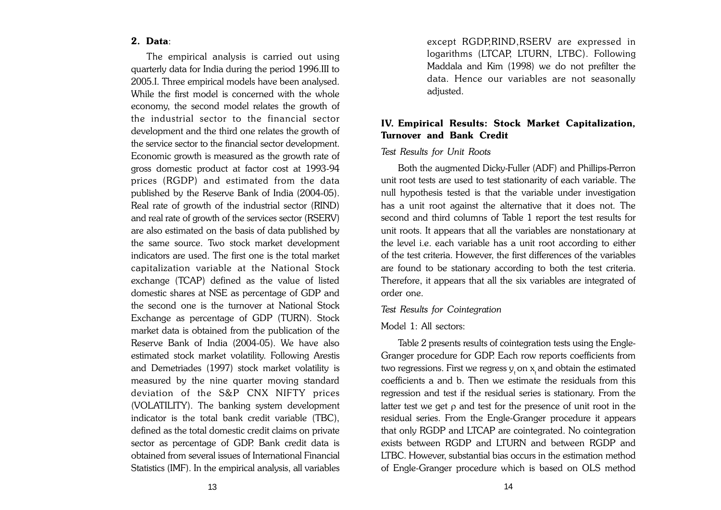#### **2. Data**:

The empirical analysis is carried out using quarterly data for India during the period 1996.III to 2005.I. Three empirical models have been analysed. While the first model is concerned with the whole economy, the second model relates the growth of the industrial sector to the financial sector development and the third one relates the growth of the service sector to the financial sector development. Economic growth is measured as the growth rate of gross domestic product at factor cost at 1993-94 prices (RGDP) and estimated from the data published by the Reserve Bank of India (2004-05). Real rate of growth of the industrial sector (RIND) and real rate of growth of the services sector (RSERV) are also estimated on the basis of data published by the same source. Two stock market development indicators are used. The first one is the total market capitalization variable at the National Stock exchange (TCAP) defined as the value of listed domestic shares at NSE as percentage of GDP and the second one is the turnover at National Stock Exchange as percentage of GDP (TURN). Stock market data is obtained from the publication of the Reserve Bank of India (2004-05). We have also estimated stock market volatility. Following Arestis and Demetriades (1997) stock market volatility is measured by the nine quarter moving standard deviation of the S&P CNX NIFTY prices (VOLATILITY). The banking system development indicator is the total bank credit variable (TBC), defined as the total domestic credit claims on private sector as percentage of GDP. Bank credit data is obtained from several issues of International Financial Statistics (IMF). In the empirical analysis, all variables except RGDP,RIND,RSERV are expressed in logarithms (LTCAP, LTURN, LTBC). Following Maddala and Kim (1998) we do not prefilter the data. Hence our variables are not seasonally adjusted.

## **IV. Empirical Results: Stock Market Capitalization, Turnover and Bank Credit**

#### *Test Results for Unit Roots*

Both the augmented Dicky-Fuller (ADF) and Phillips-Perron unit root tests are used to test stationarity of each variable. The null hypothesis tested is that the variable under investigation has a unit root against the alternative that it does not. The second and third columns of Table 1 report the test results for unit roots. It appears that all the variables are nonstationary at the level i.e. each variable has a unit root according to either of the test criteria. However, the first differences of the variables are found to be stationary according to both the test criteria. Therefore, it appears that all the six variables are integrated of order one.

#### *Test Results for Cointegration*

#### Model 1: All sectors:

Table 2 presents results of cointegration tests using the Engle-Granger procedure for GDP. Each row reports coefficients from two regressions. First we regress  $\bm{{\mathsf{y}}}_{\text{t}}$  on  $\bm{{\mathsf{x}}}_{\text{t}}$  and obtain the estimated coefficients a and b. Then we estimate the residuals from this regression and test if the residual series is stationary. From the latter test we get  $\rho$  and test for the presence of unit root in the residual series. From the Engle-Granger procedure it appears that only RGDP and LTCAP are cointegrated. No cointegration exists between RGDP and LTURN and between RGDP and LTBC. However, substantial bias occurs in the estimation method of Engle-Granger procedure which is based on OLS method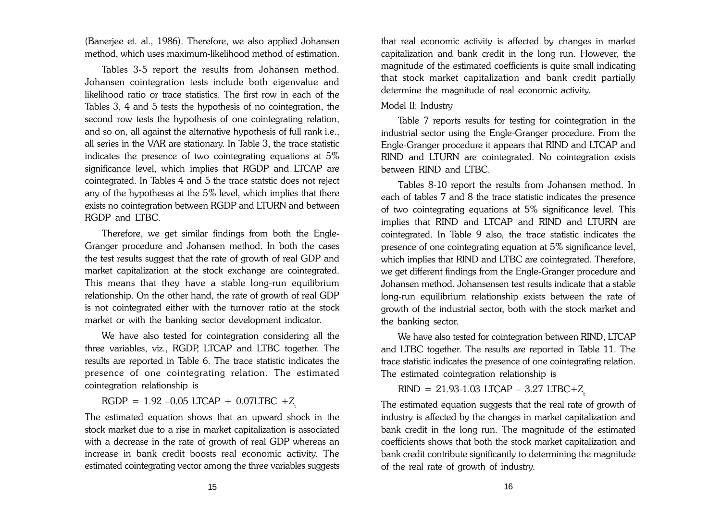(Banerjee et. al., 1986). Therefore, we also applied Johansen method, which uses maximum-likelihood method of estimation.

Tables 3-5 report the results from Johansen method. Johansen cointegration tests include both eigenvalue and likelihood ratio or trace statistics. The first row in each of the Tables 3, 4 and 5 tests the hypothesis of no cointegration, the second row tests the hypothesis of one cointegrating relation, and so on, all against the alternative hypothesis of full rank i.e., all series in the VAR are stationary. In Table 3, the trace statistic indicates the presence of two cointegrating equations at 5% significance level, which implies that RGDP and LTCAP are cointegrated. In Tables 4 and 5 the trace statstic does not reject any of the hypotheses at the 5% level, which implies that there exists no cointegration between RGDP and LTURN and between RGDP and LTBC.

Therefore, we get similar findings from both the Engle-Granger procedure and Johansen method. In both the cases the test results suggest that the rate of growth of real GDP and market capitalization at the stock exchange are cointegrated. This means that they have a stable long-run equilibrium relationship. On the other hand, the rate of growth of real GDP is not cointegrated either with the turnover ratio at the stock market or with the banking sector development indicator.

We have also tested for cointegration considering all the three variables, viz., RGDP, LTCAP and LTBC together. The results are reported in Table 6. The trace statistic indicates the presence of one cointegrating relation. The estimated cointegration relationship is

RGDP =  $1.92 -0.05$  LTCAP + 0.07LTBC +Z

The estimated equation shows that an upward shock in the stock market due to a rise in market capitalization is associated with a decrease in the rate of growth of real GDP whereas an increase in bank credit boosts real economic activity. The estimated cointegrating vector among the three variables suggests that real economic activity is affected by changes in market capitalization and bank credit in the long run. However, the magnitude of the estimated coefficients is quite small indicating that stock market capitalization and bank credit partially determine the magnitude of real economic activity.

#### Model II: Industry

Table 7 reports results for testing for cointegration in the industrial sector using the Engle-Granger procedure. From the Engle-Granger procedure it appears that RIND and LTCAP and RIND and LTURN are cointegrated. No cointegration exists between RIND and LTBC.

Tables 8-10 report the results from Johansen method. In each of tables 7 and 8 the trace statistic indicates the presence of two cointegrating equations at 5% significance level. This implies that RIND and LTCAP and RIND and LTURN are cointegrated. In Table 9 also, the trace statistic indicates the presence of one cointegrating equation at 5% significance level, which implies that RIND and LTBC are cointegrated. Therefore, we get different findings from the Engle-Granger procedure and Johansen method. Johansensen test results indicate that a stable long-run equilibrium relationship exists between the rate of growth of the industrial sector, both with the stock market and the banking sector.

We have also tested for cointegration between RIND, LTCAP and LTBC together. The results are reported in Table 11. The trace statistic indicates the presence of one cointegrating relation. The estimated cointegration relationship is

 $RIND = 21.93-1.03$  LTCAP - 3.27 LTBC+Z<sub>t</sub>

The estimated equation suggests that the real rate of growth of industry is affected by the changes in market capitalization and bank credit in the long run. The magnitude of the estimated coefficients shows that both the stock market capitalization and bank credit contribute significantly to determining the magnitude of the real rate of growth of industry.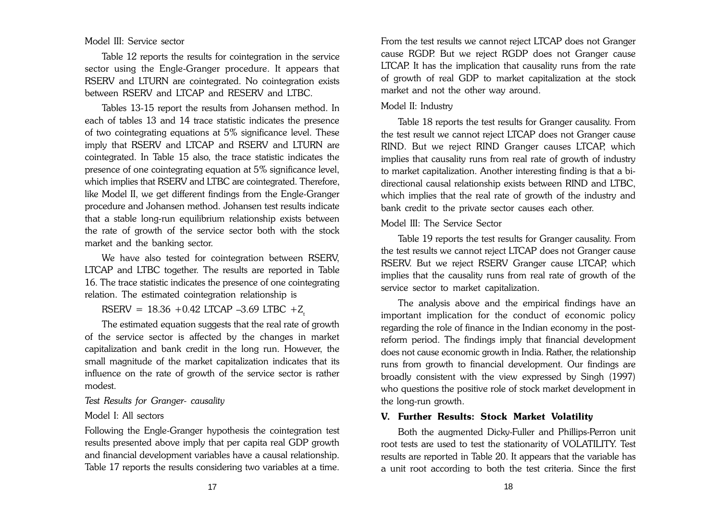#### Model III: Service sector

Table 12 reports the results for cointegration in the service sector using the Engle-Granger procedure. It appears that RSERV and LTURN are cointegrated. No cointegration exists between RSERV and LTCAP and RESERV and LTBC.

Tables 13-15 report the results from Johansen method. In each of tables 13 and 14 trace statistic indicates the presence of two cointegrating equations at 5% significance level. These imply that RSERV and LTCAP and RSERV and LTURN are cointegrated. In Table 15 also, the trace statistic indicates the presence of one cointegrating equation at 5% significance level, which implies that RSERV and LTBC are cointegrated. Therefore, like Model II, we get different findings from the Engle-Granger procedure and Johansen method. Johansen test results indicate that a stable long-run equilibrium relationship exists between the rate of growth of the service sector both with the stock market and the banking sector.

We have also tested for cointegration between RSERV, LTCAP and LTBC together. The results are reported in Table 16. The trace statistic indicates the presence of one cointegrating relation. The estimated cointegration relationship is

RSERV =  $18.36 + 0.42$  LTCAP -3.69 LTBC +Z<sub>t</sub>

The estimated equation suggests that the real rate of growth of the service sector is affected by the changes in market capitalization and bank credit in the long run. However, the small magnitude of the market capitalization indicates that its influence on the rate of growth of the service sector is rather modest.

## *Test Results for Granger- causality*

#### Model I: All sectors

Following the Engle-Granger hypothesis the cointegration test results presented above imply that per capita real GDP growth and financial development variables have a causal relationship. Table 17 reports the results considering two variables at a time.

From the test results we cannot reject LTCAP does not Granger cause RGDP. But we reject RGDP does not Granger cause LTCAP. It has the implication that causality runs from the rate of growth of real GDP to market capitalization at the stock market and not the other way around.

## Model II: Industry

Table 18 reports the test results for Granger causality. From the test result we cannot reject LTCAP does not Granger cause RIND. But we reject RIND Granger causes LTCAP, which implies that causality runs from real rate of growth of industry to market capitalization. Another interesting finding is that a bidirectional causal relationship exists between RIND and LTBC, which implies that the real rate of growth of the industry and bank credit to the private sector causes each other.

## Model III: The Service Sector

Table 19 reports the test results for Granger causality. From the test results we cannot reject LTCAP does not Granger cause RSERV. But we reject RSERV Granger cause LTCAP, which implies that the causality runs from real rate of growth of the service sector to market capitalization.

The analysis above and the empirical findings have an important implication for the conduct of economic policy regarding the role of finance in the Indian economy in the postreform period. The findings imply that financial development does not cause economic growth in India. Rather, the relationship runs from growth to financial development. Our findings are broadly consistent with the view expressed by Singh (1997) who questions the positive role of stock market development in the long-run growth.

## **V. Further Results: Stock Market Volatility**

Both the augmented Dicky-Fuller and Phillips-Perron unit root tests are used to test the stationarity of VOLATILITY. Test results are reported in Table 20. It appears that the variable has a unit root according to both the test criteria. Since the first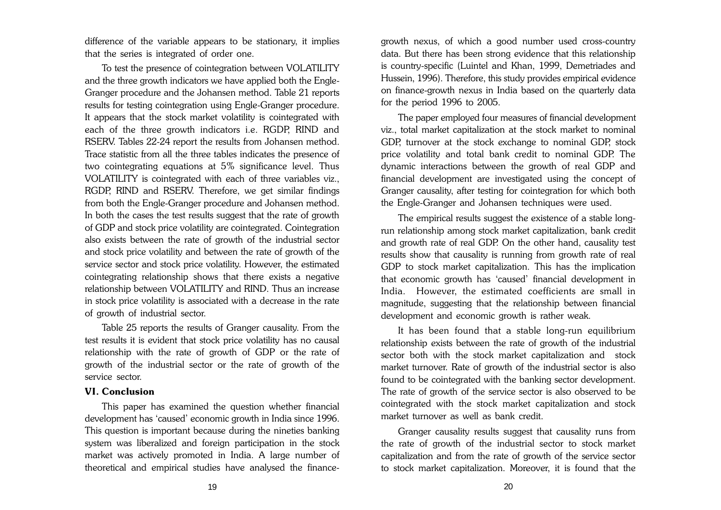difference of the variable appears to be stationary, it implies that the series is integrated of order one.

To test the presence of cointegration between VOLATILITY and the three growth indicators we have applied both the Engle-Granger procedure and the Johansen method. Table 21 reports results for testing cointegration using Engle-Granger procedure. It appears that the stock market volatility is cointegrated with each of the three growth indicators i.e. RGDP, RIND and RSERV. Tables 22-24 report the results from Johansen method. Trace statistic from all the three tables indicates the presence of two cointegrating equations at 5% significance level. Thus VOLATILITY is cointegrated with each of three variables viz., RGDP, RIND and RSERV. Therefore, we get similar findings from both the Engle-Granger procedure and Johansen method. In both the cases the test results suggest that the rate of growth of GDP and stock price volatility are cointegrated. Cointegration also exists between the rate of growth of the industrial sector and stock price volatility and between the rate of growth of the service sector and stock price volatility. However, the estimated cointegrating relationship shows that there exists a negative relationship between VOLATILITY and RIND. Thus an increase in stock price volatility is associated with a decrease in the rate of growth of industrial sector.

Table 25 reports the results of Granger causality. From the test results it is evident that stock price volatility has no causal relationship with the rate of growth of GDP or the rate of growth of the industrial sector or the rate of growth of the service sector.

#### **VI. Conclusion**

This paper has examined the question whether financial development has 'caused' economic growth in India since 1996. This question is important because during the nineties banking system was liberalized and foreign participation in the stock market was actively promoted in India. A large number of theoretical and empirical studies have analysed the financegrowth nexus, of which a good number used cross-country data. But there has been strong evidence that this relationship is country-specific (Luintel and Khan, 1999, Demetriades and Hussein, 1996). Therefore, this study provides empirical evidence on finance-growth nexus in India based on the quarterly data for the period 1996 to 2005.

The paper employed four measures of financial development viz., total market capitalization at the stock market to nominal GDP, turnover at the stock exchange to nominal GDP, stock price volatility and total bank credit to nominal GDP. The dynamic interactions between the growth of real GDP and financial development are investigated using the concept of Granger causality, after testing for cointegration for which both the Engle-Granger and Johansen techniques were used.

The empirical results suggest the existence of a stable longrun relationship among stock market capitalization, bank credit and growth rate of real GDP. On the other hand, causality test results show that causality is running from growth rate of real GDP to stock market capitalization. This has the implication that economic growth has 'caused' financial development in India. However, the estimated coefficients are small in magnitude, suggesting that the relationship between financial development and economic growth is rather weak.

It has been found that a stable long-run equilibrium relationship exists between the rate of growth of the industrial sector both with the stock market capitalization and stock market turnover. Rate of growth of the industrial sector is also found to be cointegrated with the banking sector development. The rate of growth of the service sector is also observed to be cointegrated with the stock market capitalization and stock market turnover as well as bank credit.

Granger causality results suggest that causality runs from the rate of growth of the industrial sector to stock market capitalization and from the rate of growth of the service sector to stock market capitalization. Moreover, it is found that the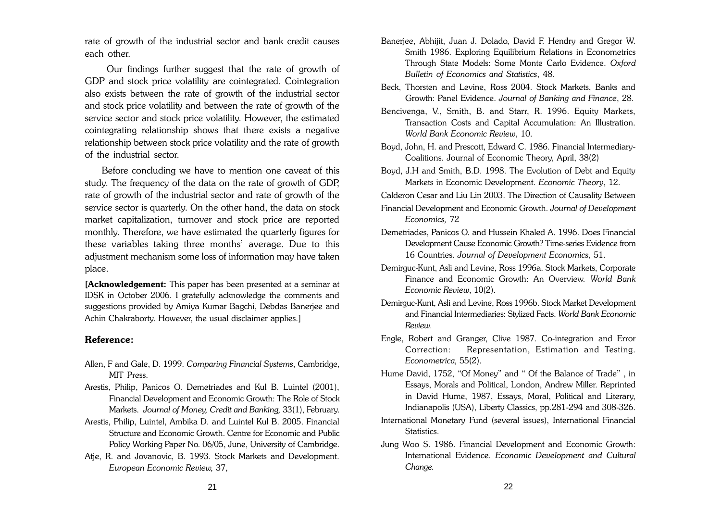rate of growth of the industrial sector and bank credit causes each other.

 Our findings further suggest that the rate of growth of GDP and stock price volatility are cointegrated. Cointegration also exists between the rate of growth of the industrial sector and stock price volatility and between the rate of growth of the service sector and stock price volatility. However, the estimated cointegrating relationship shows that there exists a negative relationship between stock price volatility and the rate of growth of the industrial sector.

Before concluding we have to mention one caveat of this study. The frequency of the data on the rate of growth of GDP, rate of growth of the industrial sector and rate of growth of the service sector is quarterly. On the other hand, the data on stock market capitalization, turnover and stock price are reported monthly. Therefore, we have estimated the quarterly figures for these variables taking three months' average. Due to this adjustment mechanism some loss of information may have taken place.

**[Acknowledgement:** This paper has been presented at a seminar at IDSK in October 2006. I gratefully acknowledge the comments and suggestions provided by Amiya Kumar Bagchi, Debdas Banerjee and Achin Chakraborty. However, the usual disclaimer applies.]

#### **Reference:**

- Allen, F and Gale, D. 1999. *Comparing Financial Systems*, Cambridge, MIT Press.
- Arestis, Philip, Panicos O. Demetriades and Kul B. Luintel (2001), Financial Development and Economic Growth: The Role of Stock Markets. *Journal of Money, Credit and Banking,* 33(1), February.
- Arestis, Philip, Luintel, Ambika D. and Luintel Kul B. 2005. Financial Structure and Economic Growth. Centre for Economic and Public Policy Working Paper No. 06/05, June, University of Cambridge.
- Atje, R. and Jovanovic, B. 1993. Stock Markets and Development. *European Economic Review,* 37,
- Banerjee, Abhijit, Juan J. Dolado, David F. Hendry and Gregor W. Smith 1986. Exploring Equilibrium Relations in Econometrics Through State Models: Some Monte Carlo Evidence. *Oxford Bulletin of Economics and Statistics*, 48.
- Beck, Thorsten and Levine, Ross 2004. Stock Markets, Banks and Growth: Panel Evidence. *Journal of Banking and Finance*, 28.
- Bencivenga, V., Smith, B. and Starr, R. 1996. Equity Markets, Transaction Costs and Capital Accumulation: An Illustration. *World Bank Economic Review*, 10.
- Boyd, John, H. and Prescott, Edward C. 1986. Financial Intermediary-Coalitions. Journal of Economic Theory, April, 38(2)
- Boyd, J.H and Smith, B.D. 1998. The Evolution of Debt and Equity Markets in Economic Development. *Economic Theory*, 12.
- Calderon Cesar and Liu Lin 2003. The Direction of Causality Between
- Financial Development and Economic Growth. *Journal of Development Economics,* 72
- Demetriades, Panicos O. and Hussein Khaled A. 1996. Does Financial Development Cause Economic Growth? Time-series Evidence from 16 Countries. *Journal of Development Economics*, 51.
- Demirguc-Kunt, Asli and Levine, Ross 1996a. Stock Markets, Corporate Finance and Economic Growth: An Overview. *World Bank Economic Review*, 10(2).
- Demirguc-Kunt, Asli and Levine, Ross 1996b. Stock Market Development and Financial Intermediaries: Stylized Facts. *World Bank Economic Review.*
- Engle, Robert and Granger, Clive 1987. Co-integration and Error Correction: Representation, Estimation and Testing. *Econometrica,* 55(2).
- Hume David, 1752, "Of Money" and " Of the Balance of Trade" , in Essays, Morals and Political, London, Andrew Miller. Reprinted in David Hume, 1987, Essays, Moral, Political and Literary, Indianapolis (USA), Liberty Classics, pp.281-294 and 308-326.
- International Monetary Fund (several issues), International Financial Statistics.
- Jung Woo S. 1986. Financial Development and Economic Growth: International Evidence. *Economic Development and Cultural Change.*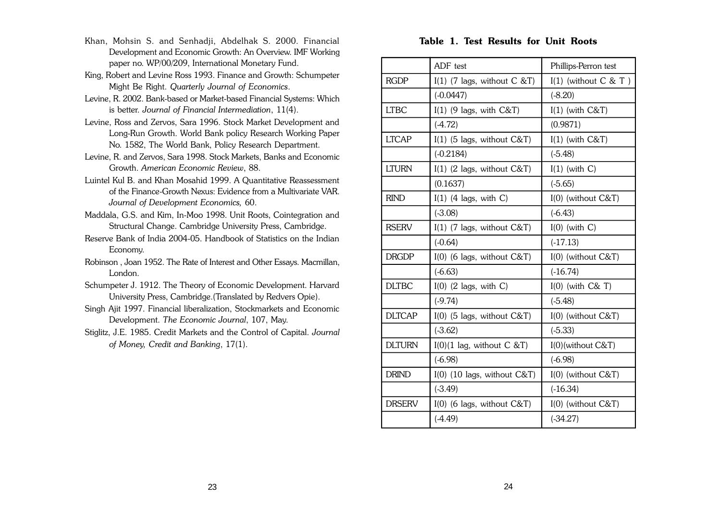- Khan, Mohsin S. and Senhadji, Abdelhak S. 2000. Financial Development and Economic Growth: An Overview. IMF Working paper no. WP/00/209, International Monetary Fund.
- King, Robert and Levine Ross 1993. Finance and Growth: Schumpeter Might Be Right. *Quarterly Journal of Economics*.
- Levine, R. 2002. Bank-based or Market-based Financial Systems: Which is better. *Journal of Financial Intermediation*, 11(4).
- Levine, Ross and Zervos, Sara 1996. Stock Market Development and Long-Run Growth. World Bank policy Research Working Paper No. 1582, The World Bank, Policy Research Department.
- Levine, R. and Zervos, Sara 1998. Stock Markets, Banks and Economic Growth. *American Economic Review*, 88.
- Luintel Kul B. and Khan Mosahid 1999. A Quantitative Reassessment of the Finance-Growth Nexus: Evidence from a Multivariate VAR. *Journal of Development Economics,* 60.
- Maddala, G.S. and Kim, In-Moo 1998. Unit Roots, Cointegration and Structural Change. Cambridge University Press, Cambridge.
- Reserve Bank of India 2004-05. Handbook of Statistics on the Indian Economy.
- Robinson , Joan 1952. The Rate of Interest and Other Essays. Macmillan, London.
- Schumpeter J. 1912. The Theory of Economic Development. Harvard University Press, Cambridge.(Translated by Redvers Opie).
- Singh Ajit 1997. Financial liberalization, Stockmarkets and Economic Development. *The Economic Journal*, 107, May.
- Stiglitz, J.E. 1985. Credit Markets and the Control of Capital. *Journal of Money, Credit and Banking*, 17(1).

#### **Table 1. Test Results for Unit Roots**

|               | ADF test                                      | Phillips-Perron test      |
|---------------|-----------------------------------------------|---------------------------|
| <b>RGDP</b>   | $I(1)$ (7 lags, without C &T)                 | $I(1)$ (without $C & T$ ) |
|               | $(-0.0447)$                                   | $(-8.20)$                 |
| <b>LTBC</b>   | $I(1)$ (9 lags, with C&T)                     | $I(1)$ (with $C&T$ )      |
|               | $(-4.72)$                                     | (0.9871)                  |
| <b>LTCAP</b>  | $I(1)$ (5 lags, without $C&T$ )               | $I(1)$ (with $C&T$ )      |
|               | $(-0.2184)$                                   | $(-5.48)$                 |
| <b>LTURN</b>  | $I(1)$ (2 lags, without C&T)                  | $I(1)$ (with C)           |
|               | (0.1637)                                      | $(-5.65)$                 |
| <b>RIND</b>   | $I(1)$ (4 lags, with C)                       | $I(0)$ (without $C&T$ )   |
|               | $(-3.08)$                                     | $(-6.43)$                 |
| <b>RSERV</b>  | $I(1)$ (7 lags, without C&T)                  | $I(0)$ (with C)           |
|               | $(-0.64)$                                     | $(-17.13)$                |
| <b>DRGDP</b>  | $I(0)$ (6 lags, without C&T)                  | $I(0)$ (without $C&T$ )   |
|               | $(-6.63)$                                     | $(-16.74)$                |
| <b>DLTBC</b>  | $I(0)$ (2 lags, with C)                       | $I(0)$ (with $C&T$ )      |
|               | $(-9.74)$                                     | $(-5.48)$                 |
| <b>DLTCAP</b> | $I(0)$ (5 lags, without $C&T$ )               | $I(0)$ (without $C&T$ )   |
|               | $(-3.62)$                                     | $(-5.33)$                 |
| <b>DLTURN</b> | $I(0)(1 \text{ lag}, \text{without } C \& T)$ | $I(0)$ (without $C&T$ )   |
|               | $(-6.98)$                                     | $(-6.98)$                 |
| <b>DRIND</b>  | $I(0)$ (10 lags, without $C&T$ )              | $I(0)$ (without $C&T$ )   |
|               | $(-3.49)$                                     | $(-16.34)$                |
| <b>DRSERV</b> | $I(0)$ (6 lags, without C&T)                  | $I(0)$ (without $C&T$ )   |
|               | $(-4.49)$                                     | $(-34.27)$                |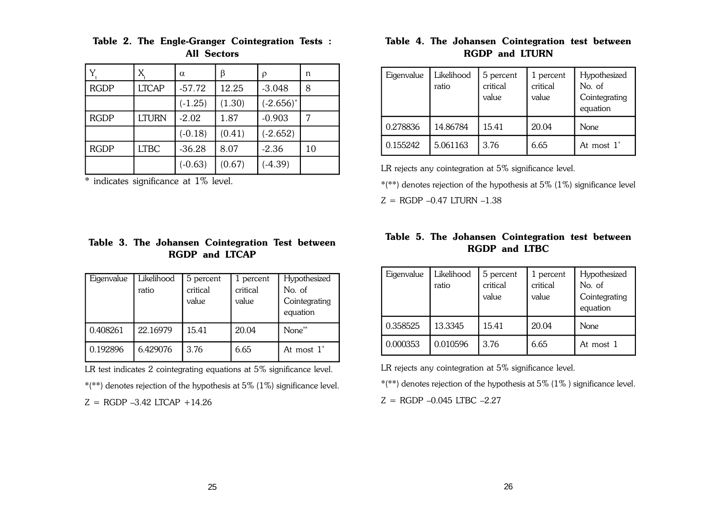|             | X            | $\alpha$  | β      | ρ            | n  |
|-------------|--------------|-----------|--------|--------------|----|
| <b>RGDP</b> | <b>LTCAP</b> | $-57.72$  | 12.25  | $-3.048$     | 8  |
|             |              | $(-1.25)$ | (1.30) | $(-2.656)^*$ |    |
| <b>RGDP</b> | LTURN        | $-2.02$   | 1.87   | $-0.903$     |    |
|             |              | $(-0.18)$ | (0.41) | $(-2.652)$   |    |
| <b>RGDP</b> | <b>LTBC</b>  | $-36.28$  | 8.07   | $-2.36$      | 10 |
|             |              | $(-0.63)$ | (0.67) | $(-4.39)$    |    |

#### **Table 2. The Engle-Granger Cointegration Tests : All Sectors**

\* indicates significance at 1% level.

## **Table 3. The Johansen Cointegration Test between RGDP and LTCAP**

| Eigenvalue | Likelihood<br>ratio | 5 percent<br>critical<br>value | 1 percent<br>critical<br>value | Hypothesized<br>No. of<br>Cointegrating<br>equation |
|------------|---------------------|--------------------------------|--------------------------------|-----------------------------------------------------|
| 0.408261   | 22.16979            | 15.41                          | 20.04                          | None**                                              |
| 0.192896   | 6.429076            | 3.76                           | 6.65                           | At most $1^*$                                       |

LR test indicates 2 cointegrating equations at 5% significance level.

\*(\*\*) denotes rejection of the hypothesis at 5% (1%) significance level.

 $Z = RGDP - 3.42$  LTCAP +14.26

## **Table 4. The Johansen Cointegration test between RGDP and LTURN**

| Eigenvalue | Likelihood<br>ratio | 5 percent<br>critical<br>value | 1 percent<br>critical<br>value | Hypothesized<br>No. of<br>Cointegrating<br>equation |
|------------|---------------------|--------------------------------|--------------------------------|-----------------------------------------------------|
| 0.278836   | 14.86784            | 15.41                          | 20.04                          | None                                                |
| 0.155242   | 5.061163            | 3.76                           | 6.65                           | At most $1^*$                                       |

LR rejects any cointegration at 5% significance level.

\*(\*\*) denotes rejection of the hypothesis at 5% (1%) significance level  $Z =$  RGDP  $-0.47$  LTURN  $-1.38$ 

## **Table 5. The Johansen Cointegration test between RGDP and LTBC**

| Eigenvalue | Likelihood<br>ratio | 5 percent<br>critical<br>value | 1 percent<br>critical<br>value | Hypothesized<br>No. of<br>Cointegrating<br>equation |
|------------|---------------------|--------------------------------|--------------------------------|-----------------------------------------------------|
| 0.358525   | 13.3345             | 15.41                          | 20.04                          | None                                                |
| 0.000353   | 0.010596            | 3.76                           | 6.65                           | At most 1                                           |

LR rejects any cointegration at 5% significance level.

\*(\*\*) denotes rejection of the hypothesis at 5% (1% ) significance level.

 $Z =$  RGDP  $-0.045$  LTBC  $-2.27$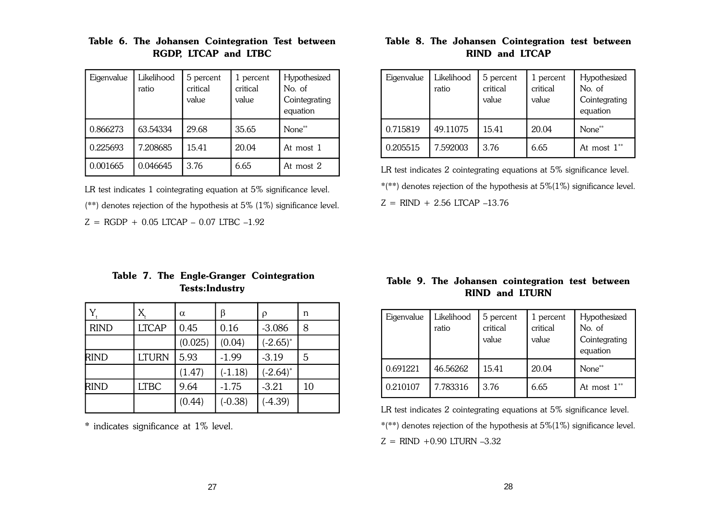| Eigenvalue | Likelihood<br>ratio | 5 percent<br>critical<br>value | 1 percent<br>critical<br>value | Hypothesized<br>No. of<br>Cointegrating<br>equation |
|------------|---------------------|--------------------------------|--------------------------------|-----------------------------------------------------|
| 0.866273   | 63.54334            | 29.68                          | 35.65                          | None**                                              |
| 0.225693   | 7.208685            | 15.41                          | 20.04                          | At most 1                                           |
| 0.001665   | 0.046645            | 3.76                           | 6.65                           | At most 2                                           |

## **Table 6. The Johansen Cointegration Test between RGDP, LTCAP and LTBC**

LR test indicates 1 cointegrating equation at 5% significance level. (\*\*) denotes rejection of the hypothesis at 5% (1%) significance level.

 $Z = RGDP + 0.05$  LTCAP – 0.07 LTBC –1.92

## **Table 7. The Engle-Granger Cointegration Tests:Industry**

|             | X            | $\alpha$ | β         | ρ             | n  |
|-------------|--------------|----------|-----------|---------------|----|
| <b>RIND</b> | <b>LTCAP</b> | 0.45     | 0.16      | $-3.086$      | 8  |
|             |              | (0.025)  | (0.04)    | $(-2.65)^{*}$ |    |
| <b>RIND</b> | <b>LTURN</b> | 5.93     | $-1.99$   | $-3.19$       | 5  |
|             |              | (1.47)   | $(-1.18)$ | $(-2.64)^*$   |    |
| <b>RIND</b> | <b>LTBC</b>  | 9.64     | $-1.75$   | $-3.21$       | 10 |
|             |              | (0.44)   | $(-0.38)$ | $(-4.39)$     |    |

\* indicates significance at 1% level.

## **Table 8. The Johansen Cointegration test between RIND and LTCAP**

| Eigenvalue | Likelihood<br>ratio | 5 percent<br>critical<br>value | 1 percent<br>critical<br>value | Hypothesized<br>No. of<br>Cointegrating<br>equation |
|------------|---------------------|--------------------------------|--------------------------------|-----------------------------------------------------|
| 0.715819   | 49.11075            | 15.41                          | 20.04                          | None**                                              |
| 0.205515   | 7.592003            | 3.76                           | 6.65                           | At most $1^{**}$                                    |

LR test indicates 2 cointegrating equations at 5% significance level.

\*(\*\*) denotes rejection of the hypothesis at 5%(1%) significance level.

 $Z =$  RIND + 2.56 LTCAP -13.76

## **Table 9. The Johansen cointegration test between RIND and LTURN**

| Eigenvalue | Likelihood<br>ratio | 5 percent<br>critical<br>value | 1 percent<br>critical<br>value | Hypothesized<br>No. of<br>Cointegrating<br>equation |
|------------|---------------------|--------------------------------|--------------------------------|-----------------------------------------------------|
| 0.691221   | 46.56262            | 15.41                          | 20.04                          | None**                                              |
| 0.210107   | 7.783316            | 3.76                           | 6.65                           | At most $1^{**}$                                    |

LR test indicates 2 cointegrating equations at 5% significance level.

 $*(**)$  denotes rejection of the hypothesis at  $5\%(1\%)$  significance level.

 $Z =$  RIND +0.90 LTURN -3.32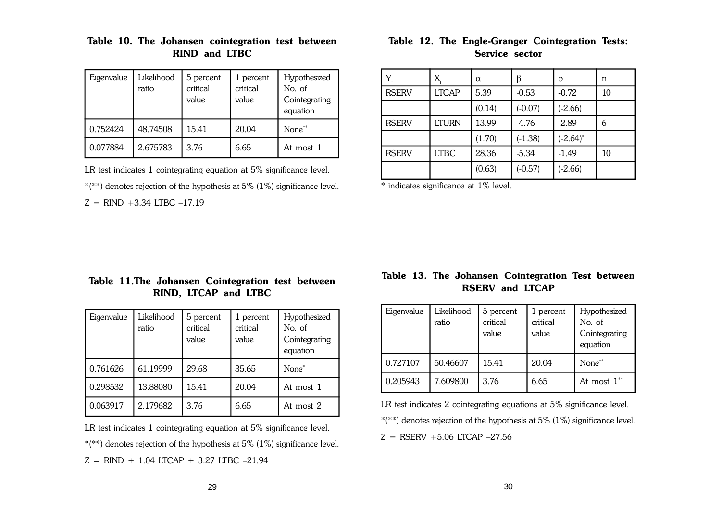| Eigenvalue | Likelihood<br>ratio | 5 percent<br>critical<br>value | 1 percent<br>critical<br>value | Hypothesized<br>No. of<br>Cointegrating<br>equation |
|------------|---------------------|--------------------------------|--------------------------------|-----------------------------------------------------|
| 0.752424   | 48.74508            | 15.41                          | 20.04                          | None**                                              |
| 0.077884   | 2.675783            | 3.76                           | 6.65                           | At most 1                                           |

## **Table 10. The Johansen cointegration test between RIND and LTBC**

LR test indicates 1 cointegrating equation at 5% significance level.

\*(\*\*) denotes rejection of the hypothesis at 5% (1%) significance level.

 $Z =$  RIND +3.34 LTBC -17.19

## **Table 12. The Engle-Granger Cointegration Tests: Service sector**

|              | X            | $\alpha$ | β         | ρ           | n  |
|--------------|--------------|----------|-----------|-------------|----|
| <b>RSERV</b> | <b>LTCAP</b> | 5.39     | $-0.53$   | $-0.72$     | 10 |
|              |              | (0.14)   | $(-0.07)$ | $(-2.66)$   |    |
| <b>RSERV</b> | <b>LTURN</b> | 13.99    | $-4.76$   | $-2.89$     | 6  |
|              |              | (1.70)   | $(-1.38)$ | $(-2.64)$ * |    |
| <b>RSERV</b> | <b>LTBC</b>  | 28.36    | $-5.34$   | $-1.49$     | 10 |
|              |              | (0.63)   | $(-0.57)$ | $(-2.66)$   |    |

\* indicates significance at 1% level.

## **Table 11.The Johansen Cointegration test between RIND, LTCAP and LTBC**

| Eigenvalue | Likelihood<br>ratio | 5 percent<br>critical<br>value | 1 percent<br>critical<br>value | Hypothesized<br>No. of<br>Cointegrating<br>equation |
|------------|---------------------|--------------------------------|--------------------------------|-----------------------------------------------------|
| 0.761626   | 61.19999            | 29.68                          | 35.65                          | None <sup>*</sup>                                   |
| 0.298532   | 13.88080            | 15.41                          | 20.04                          | At most 1                                           |
| 0.063917   | 2.179682            | 3.76                           | 6.65                           | At most 2                                           |

LR test indicates 1 cointegrating equation at 5% significance level. \*(\*\*) denotes rejection of the hypothesis at 5% (1%) significance level.  $Z = RIND + 1.04$  LTCAP + 3.27 LTBC -21.94

## **Table 13. The Johansen Cointegration Test between RSERV and LTCAP**

| Eigenvalue | Likelihood<br>ratio | 5 percent<br>critical<br>value | 1 percent<br>critical<br>value | Hypothesized<br>No. of<br>Cointegrating<br>equation |
|------------|---------------------|--------------------------------|--------------------------------|-----------------------------------------------------|
| 0.727107   | 50.46607            | 15.41                          | 20.04                          | None**                                              |
| 0.205943   | 7.609800            | 3.76                           | 6.65                           | At most $1^{**}$                                    |

LR test indicates 2 cointegrating equations at 5% significance level.

\*(\*\*) denotes rejection of the hypothesis at 5% (1%) significance level.

 $Z = RSERV + 5.06$  LTCAP  $-27.56$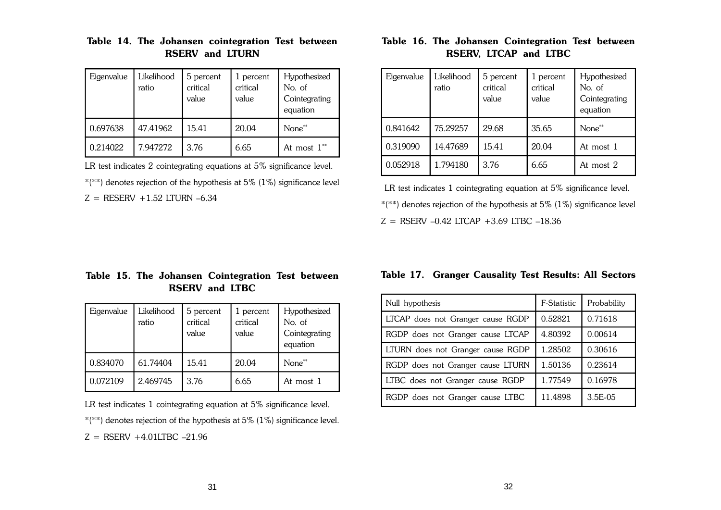| Eigenvalue | Likelihood<br>ratio | 5 percent<br>critical<br>value | 1 percent<br>critical<br>value | Hypothesized<br>No. of<br>Cointegrating<br>equation |
|------------|---------------------|--------------------------------|--------------------------------|-----------------------------------------------------|
| 0.697638   | 47.41962            | 15.41                          | 20.04                          | None**                                              |
| 0.214022   | 7.947272            | 3.76                           | 6.65                           | At most $1^{**}$                                    |

## **Table 14. The Johansen cointegration Test between RSERV and LTURN**

LR test indicates 2 cointegrating equations at 5% significance level.

\*(\*\*) denotes rejection of the hypothesis at 5% (1%) significance level

 $Z = RESERV + 1.52 LTURN -6.34$ 

## **Table 16. The Johansen Cointegration Test between RSERV, LTCAP and LTBC**

| Eigenvalue | Likelihood<br>ratio | 5 percent<br>critical<br>value | 1 percent<br>critical<br>value | Hypothesized<br>No. of<br>Cointegrating<br>equation |
|------------|---------------------|--------------------------------|--------------------------------|-----------------------------------------------------|
| 0.841642   | 75.29257            | 29.68                          | 35.65                          | None**                                              |
| 0.319090   | 14.47689            | 15.41                          | 20.04                          | At most 1                                           |
| 0.052918   | 1.794180            | 3.76                           | 6.65                           | At most 2                                           |

LR test indicates 1 cointegrating equation at 5% significance level. \*(\*\*) denotes rejection of the hypothesis at 5% (1%) significance level Z = RSERV –0.42 LTCAP +3.69 LTBC –18.36

## **Table 15. The Johansen Cointegration Test between RSERV and LTBC**

| Eigenvalue | Likelihood<br>ratio | 5 percent<br>critical<br>value | 1 percent<br>critical<br>value | Hypothesized<br>No. of<br>Cointegrating<br>equation |
|------------|---------------------|--------------------------------|--------------------------------|-----------------------------------------------------|
| 0.834070   | 61.74404            | 15.41                          | 20.04                          | None**                                              |
| 0.072109   | 2.469745            | 3.76                           | 6.65                           | At most 1                                           |

LR test indicates 1 cointegrating equation at 5% significance level.

\*(\*\*) denotes rejection of the hypothesis at 5% (1%) significance level.

 $Z = RSERV +4.01LTBC -21.96$ 

## **Table 17. Granger Causality Test Results: All Sectors**

| Null hypothesis                   | F-Statistic | Probability |
|-----------------------------------|-------------|-------------|
| LTCAP does not Granger cause RGDP | 0.52821     | 0.71618     |
| RGDP does not Granger cause LTCAP | 4.80392     | 0.00614     |
| LTURN does not Granger cause RGDP | 1.28502     | 0.30616     |
| RGDP does not Granger cause LTURN | 1.50136     | 0.23614     |
| LTBC does not Granger cause RGDP  | 1.77549     | 0.16978     |
| RGDP does not Granger cause LTBC  | 11.4898     | 3.5E-05     |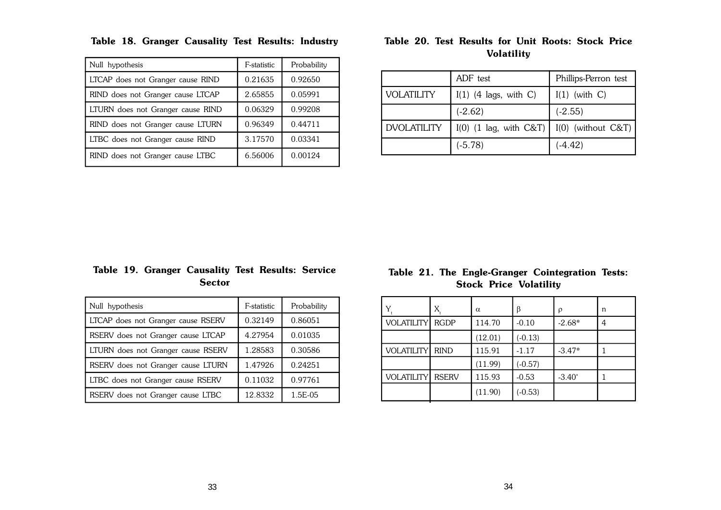| Null hypothesis                   | F-statistic | Probability |
|-----------------------------------|-------------|-------------|
| LTCAP does not Granger cause RIND | 0.21635     | 0.92650     |
| RIND does not Granger cause LTCAP | 2.65855     | 0.05991     |
| LTURN does not Granger cause RIND | 0.06329     | 0.99208     |
| RIND does not Granger cause LTURN | 0.96349     | 0.44711     |
| LTBC does not Granger cause RIND  | 3.17570     | 0.03341     |
| RIND does not Granger cause LTBC  | 6.56006     | 0.00124     |

**Table 18. Granger Causality Test Results: Industry**

## **Table 20. Test Results for Unit Roots: Stock Price Volatility**

|                    | ADF test                                      | Phillips-Perron test |
|--------------------|-----------------------------------------------|----------------------|
| <b>VOLATILITY</b>  | $I(1)$ (4 lags, with C)                       | $I(1)$ (with C)      |
|                    | $(-2.62)$                                     | $(-2.55)$            |
| <b>DVOLATILITY</b> | $I(0)$ (1 lag, with C&T) $I(0)$ (without C&T) |                      |
|                    | $(-5.78)$                                     | $(-4.42)$            |

## **Table 19. Granger Causality Test Results: Service Sector**

| Null hypothesis                    | F-statistic | Probability |
|------------------------------------|-------------|-------------|
| LTCAP does not Granger cause RSERV | 0.32149     | 0.86051     |
| RSERV does not Granger cause LTCAP | 4.27954     | 0.01035     |
| LTURN does not Granger cause RSERV | 1.28583     | 0.30586     |
| RSERV does not Granger cause LTURN | 1.47926     | 0.24251     |
| LTBC does not Granger cause RSERV  | 0.11032     | 0.97761     |
| RSERV does not Granger cause LTBC  | 12.8332     | 1.5E-05     |

## **Table 21. The Engle-Granger Cointegration Tests: Stock Price Volatility**

|                   | $X_{\!\scriptscriptstyle 1}$ | $\alpha$ | β         | ρ         | n |
|-------------------|------------------------------|----------|-----------|-----------|---|
| <b>VOLATILITY</b> | <b>RGDP</b>                  | 114.70   | $-0.10$   | $-2.68*$  | 4 |
|                   |                              | (12.01)  | $(-0.13)$ |           |   |
| <b>VOLATILITY</b> | <b>RIND</b>                  | 115.91   | $-1.17$   | $-3.47*$  |   |
|                   |                              | (11.99)  | $(-0.57)$ |           |   |
| <b>VOLATILITY</b> | <b>RSERV</b>                 | 115.93   | $-0.53$   | $-3.40^*$ |   |
|                   |                              | (11.90)  | $(-0.53)$ |           |   |